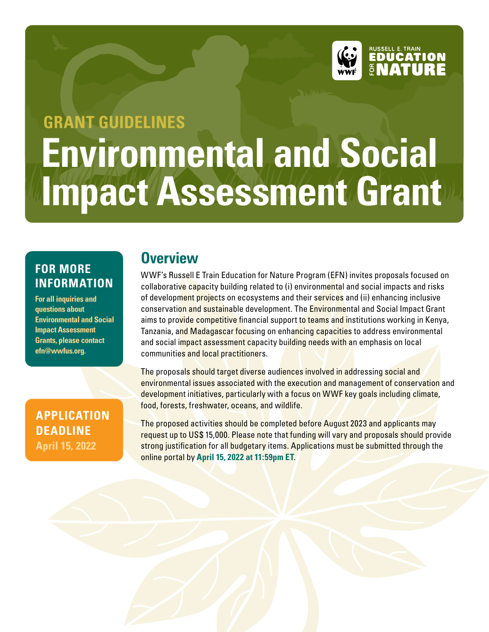

# **Environmental and Social Impact Assessment Grant GRANT GUIDELINES**

#### **FOR MORE INFORMATION**

**For all inquiries and questions about Environmental and Social Impact Assessment Grants, please contact efn@wwfus.org.**

#### **APPLICATION DEADLINE April 15, 2022**

## **Overview**

WWF's Russell E Train Education for Nature Program (EFN) invites proposals focused on collaborative capacity building related to (i) environmental and social impacts and risks of development projects on ecosystems and their services and (ii) enhancing inclusive conservation and sustainable development. The Environmental and Social Impact Grant aims to provide competitive financial support to teams and institutions working in Kenya, Tanzania, and Madagascar focusing on enhancing capacities to address environmental and social impact assessment capacity building needs with an emphasis on local communities and local practitioners.

The proposals should target diverse audiences involved in addressing social and environmental issues associated with the execution and management of conservation and development initiatives, particularly with a focus on WWF key goals including climate, food, forests, freshwater, oceans, and wildlife.

The proposed activities should be completed before August 2023 and applicants may request up to US\$ 15,000. Please note that funding will vary and proposals should provide strong justification for all budgetary items. Applications must be submitted through the online portal by **April 15, 2022 at 11:59pm ET**.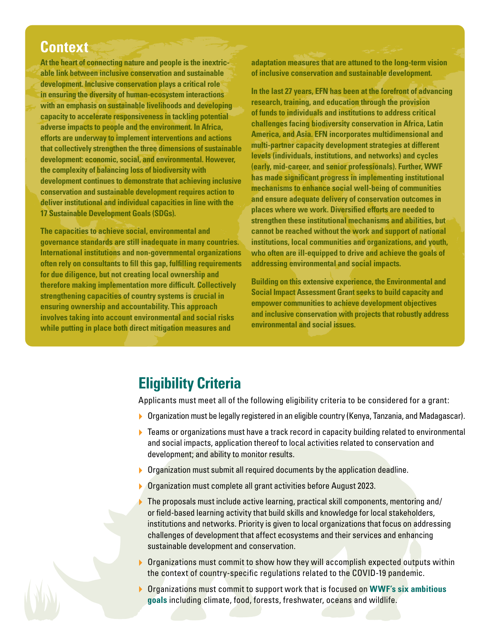#### **Context**

**At the heart of connecting nature and people is the inextricable link between inclusive conservation and sustainable development. Inclusive conservation plays a critical role in ensuring the diversity of human-ecosystem interactions with an emphasis on sustainable livelihoods and developing capacity to accelerate responsiveness in tackling potential adverse impacts to people and the environment. In Africa, efforts are underway to implement interventions and actions that collectively strengthen the three dimensions of sustainable development: economic, social, and environmental. However, the complexity of balancing loss of biodiversity with development continues to demonstrate that achieving inclusive conservation and sustainable development requires action to deliver institutional and individual capacities in line with the 17 Sustainable Development Goals (SDGs).** 

**The capacities to achieve social, environmental and governance standards are still inadequate in many countries. International institutions and non-governmental organizations often rely on consultants to fill this gap, fulfilling requirements for due diligence, but not creating local ownership and therefore making implementation more difficult. Collectively strengthening capacities of country systems is crucial in ensuring ownership and accountability. This approach involves taking into account environmental and social risks while putting in place both direct mitigation measures and** 

**adaptation measures that are attuned to the long-term vision of inclusive conservation and sustainable development.** 

**In the last 27 years, EFN has been at the forefront of advancing research, training, and education through the provision of funds to individuals and institutions to address critical challenges facing biodiversity conservation in Africa, Latin America, and Asia. EFN incorporates multidimensional and multi-partner capacity development strategies at different levels (individuals, institutions, and networks) and cycles (early, mid-career, and senior professionals). Further, WWF has made significant progress in implementing institutional mechanisms to enhance social well-being of communities and ensure adequate delivery of conservation outcomes in places where we work. Diversified efforts are needed to strengthen these institutional mechanisms and abilities, but cannot be reached without the work and support of national institutions, local communities and organizations, and youth, who often are ill-equipped to drive and achieve the goals of addressing environmental and social impacts.** 

**Building on this extensive experience, the Environmental and Social Impact Assessment Grant seeks to build capacity and empower communities to achieve development objectives and inclusive conservation with projects that robustly address environmental and social issues.**

# **Eligibility Criteria**

Applicants must meet all of the following eligibility criteria to be considered for a grant:

- ▶ Organization must be legally registered in an eligible country (Kenya, Tanzania, and Madagascar).
- $\blacktriangleright$  Teams or organizations must have a track record in capacity building related to environmental and social impacts, application thereof to local activities related to conservation and development; and ability to monitor results.
- **Organization must submit all required documents by the application deadline.**
- **Organization must complete all grant activities before August 2023.**
- $\triangleright$  The proposals must include active learning, practical skill components, mentoring and/ or field-based learning activity that build skills and knowledge for local stakeholders, institutions and networks. Priority is given to local organizations that focus on addressing challenges of development that affect ecosystems and their services and enhancing sustainable development and conservation.
- ▶ Organizations must commit to show how they will accomplish expected outputs within the context of country-specific regulations related to the COVID-19 pandemic.
- } Organizations must commit to support work that is focused on **WWF's six ambitious goals** including climate, food, forests, freshwater, oceans and wildlife.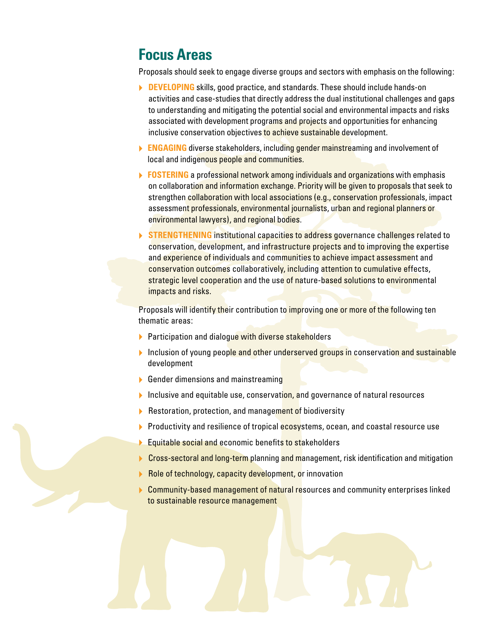## **Focus Areas**

Proposals should seek to engage diverse groups and sectors with emphasis on the following:

- **DEVELOPING** skills, good practice, and standards. These should include hands-on activities and case-studies that directly address the dual institutional challenges and gaps to understanding and mitigating the potential social and environmental impacts and risks associated with development programs and projects and opportunities for enhancing inclusive conservation objectives to achieve sustainable development.
- **ENGAGING** diverse stakeholders, including gender mainstreaming and involvement of local and indigenous people and communities.
- **FOSTERING** a professional network among individuals and organizations with emphasis on collaboration and information exchange. Priority will be given to proposals that seek to strengthen collaboration with local associations (e.g., conservation professionals, impact assessment professionals, environmental journalists, urban and regional planners or environmental lawyers), and regional bodies.
- **▶ STRENGTHENING** institutional capacities to address governance challenges related to conservation, development, and infrastructure projects and to improving the expertise and experience of individuals and communities to achieve impact assessment and conservation outcomes collaboratively, including attention to cumulative effects, strategic level cooperation and the use of nature-based solutions to environmental impacts and risks.

Proposals will identify their contribution to *improving one or more of the following ten* thematic areas:

- **Participation and dialogue with diverse stakeholders**
- $\blacktriangleright$  Inclusion of young people and other underserved groups in conservation and sustainable development
- **▶ Gender dimensions and mainstreaming**
- $\blacktriangleright$  Inclusive and equitable use, conservation, and governance of natural resources
- **B** Restoration, protection, and management of biodiversity
- **Productivity and resilience of tropical ecosystems, ocean, and coastal resource use**
- **Equitable social and economic benefits to stakeholders**
- ▶ Cross-sectoral and long-term planning and management, risk identification and mitigation
- Role of technology, capacity development, or innovation
- ▶ Community-based management of natural resources and community enterprises linked to sustainable resource management